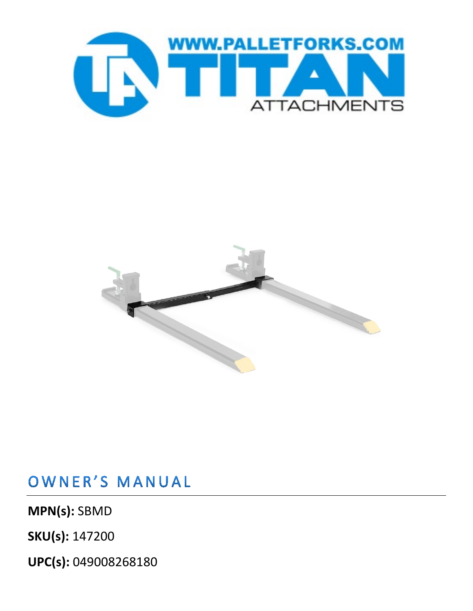



OWNER'S MANUAL

**MPN(s):** SBMD

**SKU(s):** 147200

**UPC(s):** 049008268180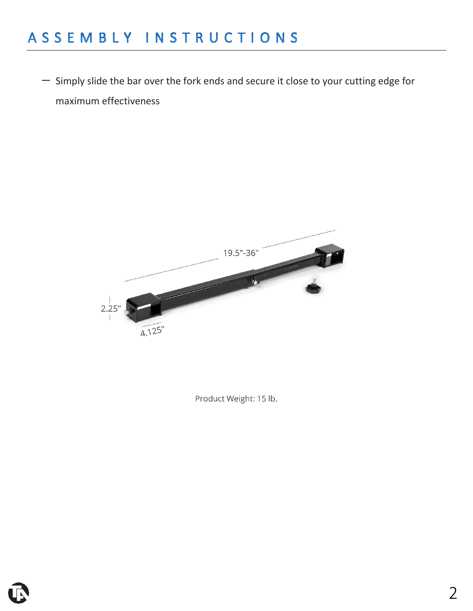− Simply slide the bar over the fork ends and secure it close to your cutting edge for maximum effectiveness



Product Weight: 15 lb.